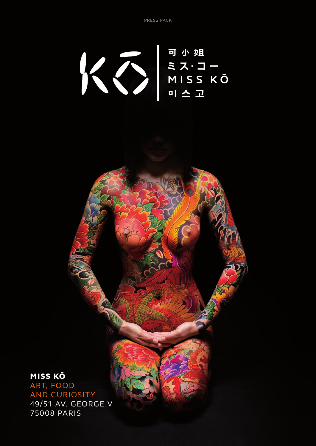可小姐 WERE NISS KO

ART, FOOD AND CURIOSITY 49/51 AV. GEORGE V 75008 PARIS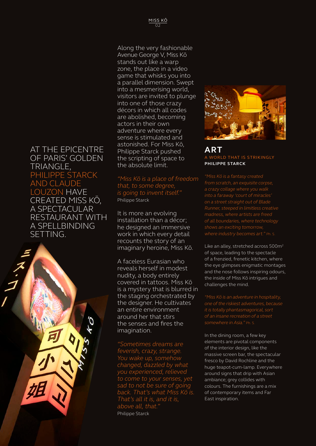AT THE EPICENTRE OF PARIS' GOLDEN TRIANGLE, PHILIPPE STARCK AND CLAUDE LOUZON HAVE CREATED MISS KŌ, A SPECTACULAR RESTAURANT WITH A SPELLBINDING SETTING.



Along the very fashionable Avenue George V, Miss Kō stands out like a warp zone, the place in a video game that whisks you into a parallel dimension. Swept into a mesmerising world, visitors are invited to plunge into one of those crazy décors in which all codes are abolished, becoming actors in their own adventure where every sense is stimulated and astonished. For Miss Kō, Philippe Starck pushed the scripting of space to the absolute limit.

*"Miss Kō is a place of freedom that, to some degree, is going to invent itself."*  Philippe Starck

It is more an evolving installation than a décor; he designed an immersive work in which every detail recounts the story of an imaginary heroine, Miss Kō.

A faceless Eurasian who reveals herself in modest nudity, a body entirely covered in tattoos. Miss Kō is a mystery that is blurred in the staging orchestrated by the designer. He cultivates an entire environment around her that stirs the senses and fires the imagination.

*"Sometimes dreams are feverish, crazy, strange. You wake up, somehow changed, dazzled by what you experienced, relieved to come to your senses, yet sad to not be sure of going back. That's what Miss Kō is. That's all it is, and it is, above all, that."*  Philippe Starck



### **ART** A WORLD THAT IS STRIKINGLY **PHILIPPE STARCK**

*from scratch, an exquisite corpse, a crazy collage where you walk into a faraway 'court of miracles' on a street straight out of Blade Runner, steeped in limitless creative madness, where artists are freed of all boundaries, where technology shows an exciting tomorrow, where industry becomes art."* Ph. S.

Like an alley, stretched across 500m<sup>2</sup> of space, leading to the spectacle of a frenzied, frenetic kitchen, where the eye glimpses enigmatic montages and the nose follows inspiring odours, the inside of Miss Kō intrigues and challenges the mind.

*"Miss Kō is an adventure in hospitality, one of the riskiest adventures, because it is totally phantasmagorical, sort of an insane recreation of a street somewhere in Asia."* Ph. S.

In the dining room, a few key elements are pivotal components of the interior design, like the massive screen bar, the spectacular fresco by David Rochline and the huge teapot-cum-lamp. Everywhere around signs that drip with Asian ambiance; grey collides with colours. The furnishings are a mix of contemporary items and Far East inspiration.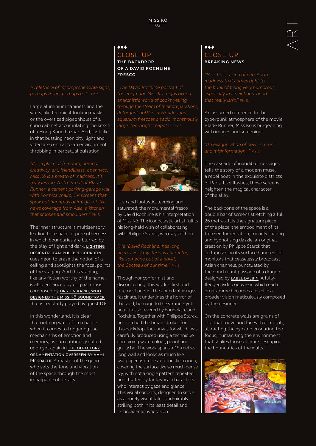### $\bullet\bullet\bullet$ CLOSE-UP **THE BACKDROP OF A DAVID ROCHLINE FRESCO**

*"The David Rochline portrait of the enigmatic Miss Kō reigns over a anarchistic world of cooks yelling through the steam of their preparations, detergent bottles in Wonderland, aquarium frescoes on acid, monstrously large, too-bright teapots."* Ph. S.



Lush and fantastic, teeming and saturated, the monumental fresco by David Rochline is his interpretation of Miss Kō. The iconoclastic artist fulfils his long-held wish of collaborating with Philippe Starck, who says of him:

*"He (David Rochline) has long been a very mysterious character, like someone out of a novel, the Cocteau of our time."* Ph. S.

Though nonconformist and disconcerting, this work is first and foremost poetic. The abundant images fascinate, it underlines the horror of the void, homage to the strange-yetbeautiful so revered by Baudelaire and Rochline. Together with Philippe Starck, he sketched the broad strokes for this backdrop, the canvas for which was carefully produced using a technique combining watercolour, pencil and gouache. The work spans a 15-metrelong wall and looks as much like wallpaper as it does a futuristic manga, covering the surface like so much dense ivy, with not a single pattern repeated, punctuated by fantastical characters who interact by gaze and glance. This visual curiosity, designed to serve as a purely visual tale, is admirably striking both in its least detail and its broader artistic vision.

### $\bullet\hspace{-4pt}\bullet\hspace{-4pt}\bullet$ CLOSE-UP **BREAKING NEWS**

*"Miss Kō is a kind of neo-Asian madness that comes right to the brink of being very humorous, especially in a neighbourhood that really isn't."* Ph. S.

An assumed reference to the cyberpunk atmosphere of the movie Blade Runner, Miss Kō is burgeoning with images and screenings.

### *"An exaggeration of news screens and misinformation..."* Ph. S.

The cascade of inaudible messages tells the story of a modern muse, a rebel poet in the exquisite districts of Paris. Like flashes, these screens heighten the magical character of the alley.

The backbone of the space is a double bar of screens stretching a full 26 metres. It is the signature piece of the place, the embodiment of its frenzied fomentation, friendly sharing and hypnotising dazzle, an original creation by Philippe Starck that juxtaposes on its surface hundreds of monitors that ceaselessly broadcast Asian channels, punctuated by the nonchalant passage of a dragon designed by LABEL DALBIN. A fullyfledged video oeuvre in which each programme becomes a pixel in a broader vision meticulously composed by the designer.

On the concrete walls are grains of rice that move and faces that morph, attracting the eye and ensnaring the focus, humanising the environment that shakes loose of limits, escaping the boundaries of the walls.



### *"A plethora of incomprehensible signs, perhaps Asian, perhaps not."* Ph. S.

Large aluminium cabinets line the walls, like technical-looking masks or the oversized pigeonholes of a curio cabinet accumulating the kitsch of a Hong Kong bazaar. And, just like in that bustling neon city, light and video are central to an environment throbbing in perpetual pulsation.

*"It is a place of freedom, humour, creativity, art, friendliness, openness. truly insane. A street out of Blade Runner: a cement parking-garage wall with Formica chairs, TV screens that spew out hundreds of images of live news coverage from Asia, a kitchen that smokes and smoulders."* Ph. S.

The inner structure is multisensory, leading to a space of pure otherness in which boundaries are blurred by the play of light and dark. LIGHTING designer jean-philippe bourdon uses neon to erase the notion of a ceiling and spotlights the focal points of the staging. And this staging, like any fiction worthy of the name, is also enhanced by original music composed by **ORSTEN KARKI, WHO** designed the miss Kō soundtrack that is regularly played by guest DJs.

In this wonderland, it is clear that nothing was left to chance when it comes to triggering the mechanisms of emotion and memory, as surreptitiously called upon yet again in THE OLFACTORY ornamentation overseen by Rami MEKDACHI. A master of the genre who sets the tone and vibration of the space through the most impalpable of details.

ART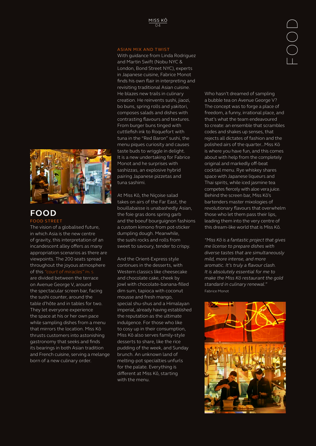### ASIAN MIX AND TWIST

With guidance from Linda Rodriguez and Martin Swift (Nobu NYC & London, Bond Street NYC), experts in Japanese cuisine, Fabrice Monot finds his own flair in interpreting and revisiting traditional Asian cuisine. He blazes new trails in culinary creation. He reinvents sushi, jiaozi, bo buns, spring rolls and yakitori, composes salads and dishes with contrasting flavours and textures. From burger buns tinged with cuttlefish ink to Roquefort with tuna in the "Red Baron" sushi, the menu piques curiosity and causes taste buds to wriggle in delight. It is a new undertaking for Fabrice Monot and he surprises with sashizzas, an explosive hybrid pairing Japanese pizzetas and tuna sashimi.

At Miss Kō, the Niçoise salad takes on airs of the Far East, the bouillabaisse is unabashedly Asian, the foie gras dons spring garb and the boeuf bourguignon fashions a custom kimono from pot-sticker dumpling dough. Meanwhile, the sushi rocks and rolls from sweet to savoury, tender to crispy.

And the Orient-Express style continues in the desserts, with Western classics like cheesecake and chocolate cake, cheek by jowl with chocolate-banana-filled dim sum, tapioca with coconut mousse and fresh mango, special shu-shus and a Himalayan imperial, already having established the reputation as the ultimate indulgence. For those who like to cosy up in their consumption, Miss Kō also serves family-style desserts to share, like the rice pudding of the week, and Sunday brunch. An unknown land of melting-pot specialties unfurls for the palate. Everything is different at Miss Kō, starting with the menu.

Who hasn't dreamed of sampling a bubble tea on Avenue George V? The concept was to forge a place of freedom, a funny, irrational place, and that's what the team endeavoured to create: an ensemble that scrambles codes and shakes up senses, that rejects all dictates of fashion and the polished airs of the quarter...Miss Kō is where you have fun, and this comes about with help from the completely original and markedly off-beat cocktail menu. Rye whiskey shares space with Japanese liqueurs and Thai spirits, while iced jasmine tea competes fiercely with aloe vera juice. Behind the screen bar, Miss Kō's bartenders master mixologies of revolutionary flavours that overwhelm those who let them pass their lips, leading them into the very centre of this dream-like world that is Miss Kō.

*"Miss Kō is a fantastic project that gives me license to prepare dishes with diverse tastes that are simultaneously mild, more intense, and more aromatic. It's truly a flavour clash. It is absolutely essential for me to make the Miss Kō restaurant the gold standard in culinary renewal."* Fabrice Monot





### **FOOD** FOOD STREET

The vision of a globalised future, in which Asia is the new centre of gravity, this interpretation of an incandescent alley offers as many appropriation scenarios as there are viewpoints. The 200 seats spread throughout the joyous atmosphere of this *"court of miracles"* Ph. S. are divided between the terrace on Avenue George V, around the spectacular screen bar, facing the sushi counter, around the table d'hôte and in tables for two. They let everyone experience the space at his or her own pace while sampling dishes from a menu that mirrors the location. Miss Kō thrusts customers into astonishing gastronomy that seeks and finds its bearings in both Asian tradition and French cuisine, serving a melange born of a new culinary order.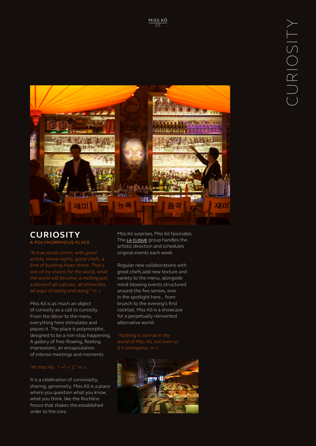

# **CURIOSITY** A POLYMORPHOUS PLACE

*"A true social centre, with guest artists, movie nights, guest chefs, a kind of bustling Asian street. That's one of my visions for the world, what the world will become, a melting pot, a blend of all cultures, all ethnicities, all ways of eating and doing."* Ph. S.

Miss Kō is as much an object of curiosity as a call to curiosity. From the décor to the menu, everything here stimulates and piques it. The place is polymorphic, designed to be a non-stop happening. A gallery of free-flowing, fleeting impressions, an encapsulation of intense meetings and moments.

It is a celebration of conviviality, sharing, generosity; Miss Kō is a place where you question what you know, what you think, like the Rochline fresco that shakes the established order to the core.

Miss Kō surprises, Miss Kō fascinates. The LA CLIQUE group handles the artistic direction and schedules original events each week.

Regular new collaborations with great chefs add new texture and variety to the menu, alongside mind-blowing events structured around the five senses, ever in the spotlight here... from brunch to the evening's first cocktail, Miss Kō is a showcase for a perpetually reinvented alternative world.

*"Nothing is normal in the world of Miss Kō, not even us. It's contagious.* Ph. S.

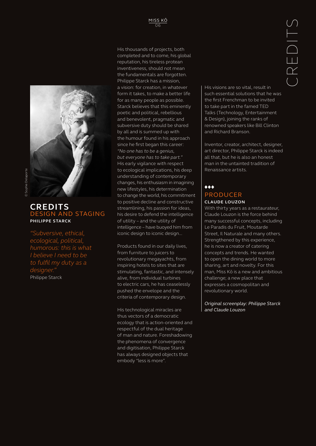

### **CREDITS** DESIGN AND STAGING **PHILIPPE STARCK**

*"Subversive, ethical, ecological, political, humorous: this is what I believe I need to be to fulfil my duty as a designer."* Philippe Starck

His thousands of projects, both completed and to come, his global reputation, his tireless protean inventiveness, should not mean the fundamentals are forgotten. Philippe Starck has a mission, a vision: for creation, in whatever form it takes, to make a better life for as many people as possible. Starck believes that this eminently poetic and political, rebellious and benevolent, pragmatic and subversive duty should be shared by all and is summed up with the humour found in his approach since he first began this career: *"No one has to be a genius, but everyone has to take part."* His early vigilance with respect to ecological implications, his deep understanding of contemporary changes, his enthusiasm in imagining new lifestyles, his determination to change the world, his commitment to positive decline and constructive streamlining, his passion for ideas, his desire to defend the intelligence of utility – and the utility of intelligence – have buoyed him from iconic design to iconic design...

Products found in our daily lives, from furniture to juicers to revolutionary megayachts, from inspiring hotels to sites that are stimulating, fantastic, and intensely alive, from individual turbines to electric cars, he has ceaselessly pushed the envelope and the criteria of contemporary design.

His technological miracles are thus vectors of a democratic ecology that is action-oriented and respectful of the dual heritage of man and nature. Foreshadowing the phenomena of convergence and digitisation, Philippe Starck has always designed objects that embody "less is more".

His visions are so vital, result in such essential solutions that he was the first Frenchman to be invited to take part in the famed TED Talks (Technology, Entertainment & Design), joining the ranks of renowned speakers like Bill Clinton and Richard Branson.

Inventor, creator, architect, designer, art director, Philippe Starck is indeed all that, but he is also an honest man in the untainted tradition of Renaissance artists.

# $\bullet\hspace{-4pt}\bullet\hspace{-4pt}\bullet$

#### PRODUCER **CLAUDE LOUZON**

With thirty years as a restaurateur, Claude Louzon is the force behind many successful concepts, including Le Paradis du Fruit, Moutarde Street, Il Naturale and many others. Strengthened by this experience, he is now a creator of catering concepts and trends. He wanted to open the dining world to more sharing, art and novelty. For this man, Miss Kō is a new and ambitious challenge; a new place that expresses a cosmopolitan and revolutionary world.

*Original screenplay: Philippe Starck and Claude Louzon*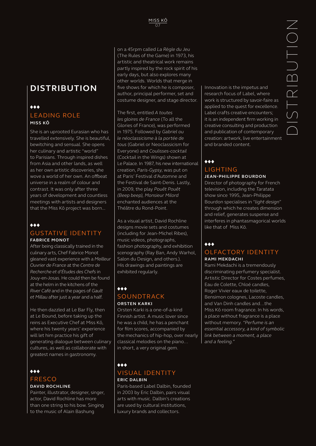# **DISTRIBUTION**

# $\leftrightarrow$ LEADING ROLE **MISS KŌ**

She is an uprooted Eurasian who has travelled extensively. She is beautiful, bewitching and sensual. She opens her culinary and artistic "world" to Parisians. Through inspired dishes from Asia and other lands, as well as her own artistic discoveries, she wove a world of her own. An offbeat universe in a realm of colour and contrast. It was only after three years of development and countless meetings with artists and designers that the Miss Kō project was born...

### $\bullet\bullet\bullet$

### GUSTATIVE IDENTITY **FABRICE MONOT**

After being classically trained in the culinary arts, Chef Fabrice Monot gleaned vast experience with a *Meilleur Ouvrier de France* at the *Centre de Recherche et d'Études des Chefs* in Jouy-en-Josas. He could then be found at the helm in the kitchens of the *River Café* and in the pages of *Gault et Millau* after just a year and a half.

He then dazzled at Le Bar Fly, then at Le Bound, before taking up the reins as Executive Chef at Miss Kō, where his twenty years' experience will let him practice his gift of generating dialogue between culinary cultures, as well as collaborate with greatest names in gastronomy.

### $\bullet\bullet\bullet$ FRESCO

# **DAVID ROCHLINE**

Painter, illustrator, designer, singer, actor, David Rochline has more than one string to his bow. Singing to the music of Alain Bashung

on a 45rpm called *La Règle du Jeu*  (The Rules of the Game) in 1973, his artistic and theatrical work remains partly inspired by the rock spirit of his early days, but also explores many other worlds. Worlds that merge in five shows for which he is composer, author, principal performer, set and costume designer, and stage director.

The first, entitled *A toutes les gloires de France* (To all the Glories of France), was performed in 1975. Followed by *Gabriel ou le néoclassicisme à la portée de tous* (Gabriel or Neoclassicism for Everyone) and *Coulisses-cocktail* (Cocktail in the Wings) shown at Le Palace. In 1987, his new international creation, *Paris-Gypsy*, was put on at Paris' Festival d'Automne and the Festival de Saint-Denis. Lastly, in 2009, the play *Pouêt Pouêt (Beep beep), Monsieur Milord* enchanted audiences at the Théâtre du Rond-Point.

As a visual artist, David Rochline designs movie sets and costumes (including for Jean-Michel Ribes), music videos, photographs, fashion photography, and exhibition scenography (Ray Ban, Andy Warhol, Salon du Design, and others.). His drawings and paintings are exhibited regularly.

### $\leftrightarrow$ SOUNDTRACK **ORSTEN KARKI**

Orsten Karki is a one-of-a-kind Finnish artist. A music lover since he was a child, he has a penchant for film scores, accompanied by the mechanics of hip-hop, over nearly classical melodies on the piano… in short, a very original gem.

### $\bullet\bullet\bullet$ VISUAL IDENTITY **ERIC DALBIN**

Paris-based Label Dalbin, founded in 2003 by Eric Dalbin, pairs visual arts with music. Dalbin's creations are used by cultural institutions, luxury brands and collectors.

Innovation is the impetus and research focus of Label, where work is structured by savoir-faire as applied to the quest for excellence. Label crafts creative encounters; it is an independent firm working in creative consulting and production and publication of contemporary creation: artwork, live entertainment and branded content.

### $\bullet\bullet\bullet$ LIGHTING **JEAN-PHILIPPE BOURDON**

Director of photography for French television, including the *Taratata* show since 1995, Jean-Philippe Bourdon specialises in "*light design*" through which he creates dimension and relief, generates suspense and interferes in phantasmagorical worlds like that of Miss Kō.

### $\bullet\bullet\bullet$ OLFACTORY IDENTITY **RAMI MEKDACHI**

Rami Mekdachi is a tremendously discriminating perfumery specialist. Artistic Director for Costes perfumes, Eau de Colette, Chloé candles, Roger Vivier eaux de toilette, Bensimon colognes, Lacoste candles, and Van Dinh candles and…the Miss Kō room fragrance. In his words, a place without fragrance is a place without memory. *"Perfume is an essential accessory, a kind of symbolic link between a moment, a place and a feeling."*